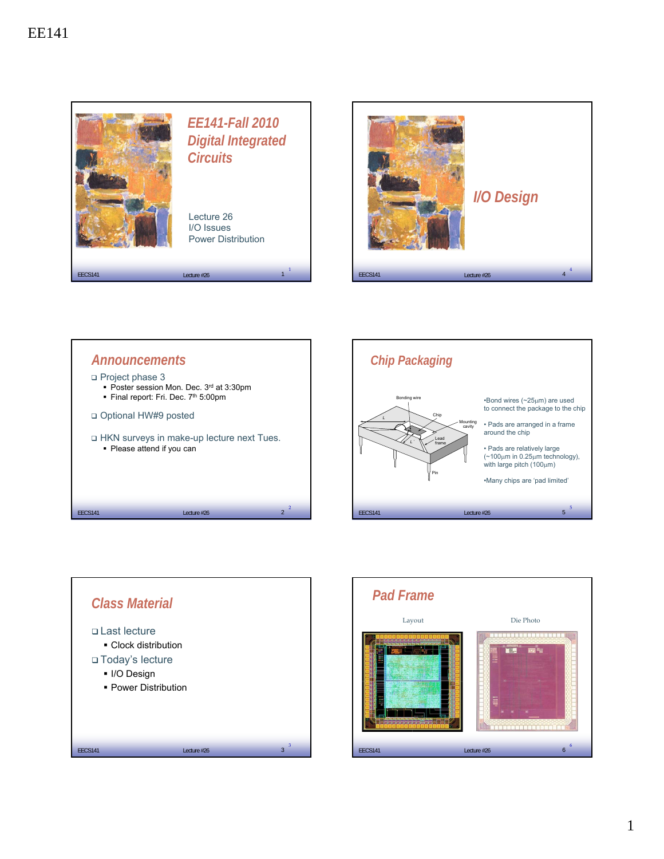







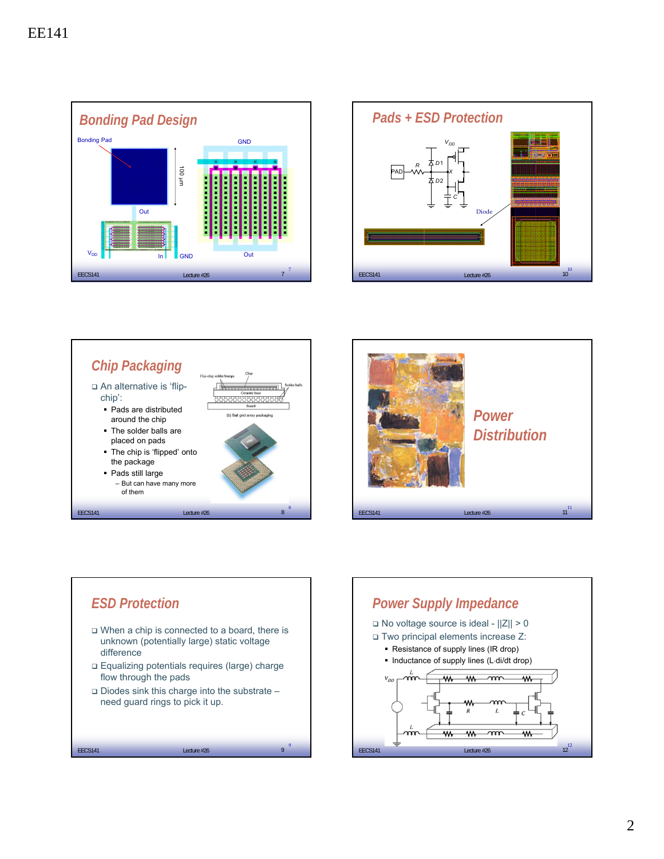









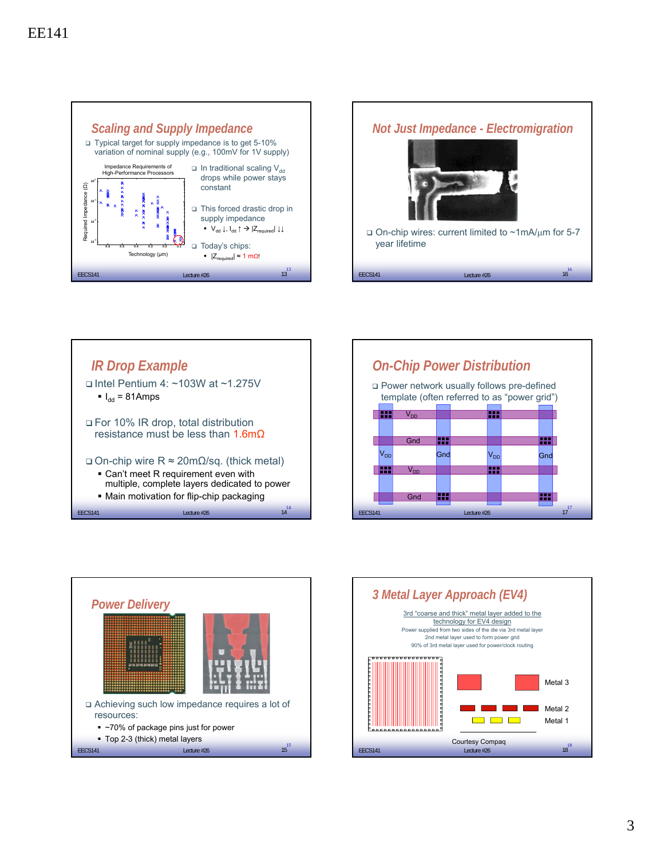